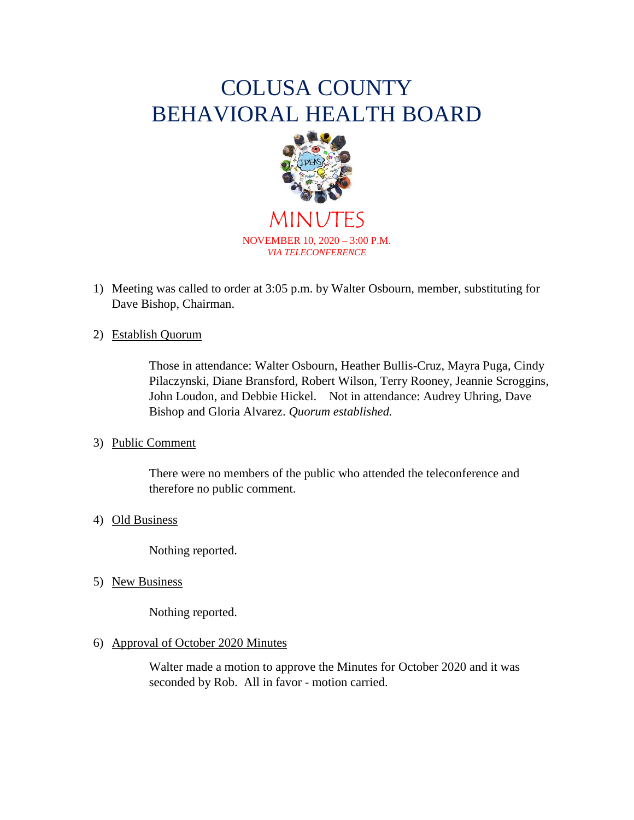# COLUSA COUNTY BEHAVIORAL HEALTH BOARD



MINUTES NOVEMBER 10, 2020 – 3:00 P.M. *VIA TELECONFERENCE*

- 1) Meeting was called to order at 3:05 p.m. by Walter Osbourn, member, substituting for Dave Bishop, Chairman.
- 2) Establish Quorum

Those in attendance: Walter Osbourn, Heather Bullis-Cruz, Mayra Puga, Cindy Pilaczynski, Diane Bransford, Robert Wilson, Terry Rooney, Jeannie Scroggins, John Loudon, and Debbie Hickel. Not in attendance: Audrey Uhring, Dave Bishop and Gloria Alvarez. *Quorum established.*

# 3) Public Comment

There were no members of the public who attended the teleconference and therefore no public comment.

# 4) Old Business

Nothing reported.

5) New Business

Nothing reported.

# 6) Approval of October 2020 Minutes

Walter made a motion to approve the Minutes for October 2020 and it was seconded by Rob. All in favor - motion carried.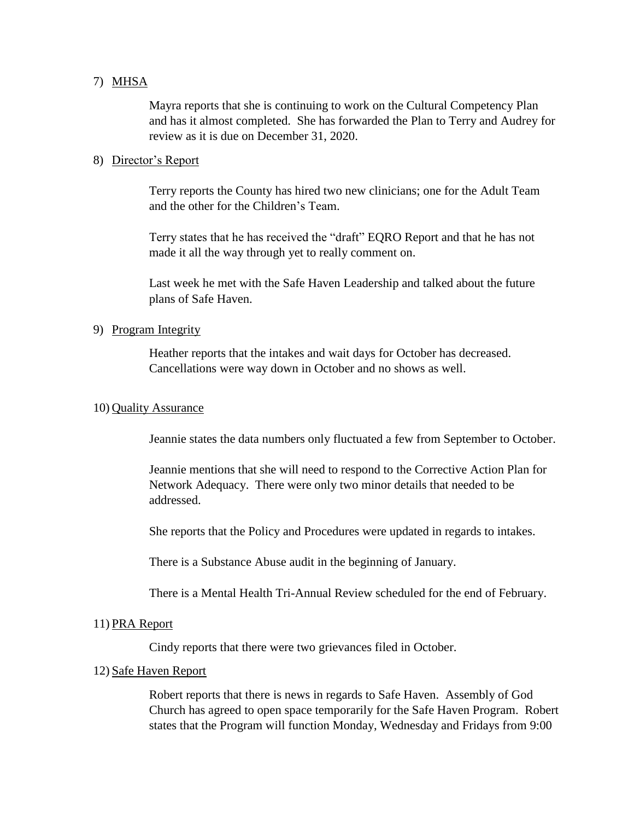## 7) MHSA

Mayra reports that she is continuing to work on the Cultural Competency Plan and has it almost completed. She has forwarded the Plan to Terry and Audrey for review as it is due on December 31, 2020.

## 8) Director's Report

Terry reports the County has hired two new clinicians; one for the Adult Team and the other for the Children's Team.

Terry states that he has received the "draft" EQRO Report and that he has not made it all the way through yet to really comment on.

Last week he met with the Safe Haven Leadership and talked about the future plans of Safe Haven.

## 9) Program Integrity

Heather reports that the intakes and wait days for October has decreased. Cancellations were way down in October and no shows as well.

## 10) Quality Assurance

Jeannie states the data numbers only fluctuated a few from September to October.

Jeannie mentions that she will need to respond to the Corrective Action Plan for Network Adequacy. There were only two minor details that needed to be addressed.

She reports that the Policy and Procedures were updated in regards to intakes.

There is a Substance Abuse audit in the beginning of January.

There is a Mental Health Tri-Annual Review scheduled for the end of February.

#### 11) PRA Report

Cindy reports that there were two grievances filed in October.

#### 12) Safe Haven Report

Robert reports that there is news in regards to Safe Haven. Assembly of God Church has agreed to open space temporarily for the Safe Haven Program. Robert states that the Program will function Monday, Wednesday and Fridays from 9:00